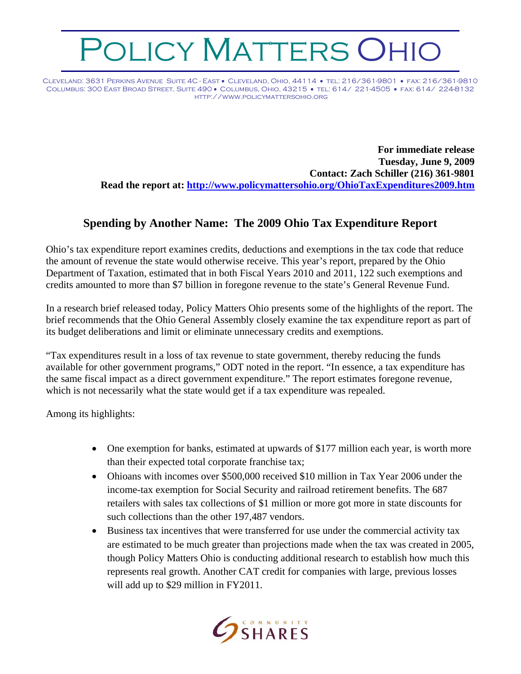## OLICY MATTERS OHIO

Cleveland: 3631 Perkins Avenue Suite 4C - East • Cleveland, Ohio, 44114 • tel: 216/361-9801 • fax: 216/361-9810 Columbus: 300 East Broad Street, Suite 490 • Columbus, Ohio, 43215 • tel: 614/ 221-4505 • fax: 614/ 224-8132 http://www.policymattersohio.org

> **For immediate release Tuesday, June 9, 2009 Contact: Zach Schiller (216) 361-9801 Read the report at: <http://www.policymattersohio.org/OhioTaxExpenditures2009.htm>**

## **Spending by Another Name: The 2009 Ohio Tax Expenditure Report**

Ohio's tax expenditure report examines credits, deductions and exemptions in the tax code that reduce the amount of revenue the state would otherwise receive. This year's report, prepared by the Ohio Department of Taxation, estimated that in both Fiscal Years 2010 and 2011, 122 such exemptions and credits amounted to more than \$7 billion in foregone revenue to the state's General Revenue Fund.

In a research brief released today, Policy Matters Ohio presents some of the highlights of the report. The brief recommends that the Ohio General Assembly closely examine the tax expenditure report as part of its budget deliberations and limit or eliminate unnecessary credits and exemptions.

"Tax expenditures result in a loss of tax revenue to state government, thereby reducing the funds available for other government programs," ODT noted in the report. "In essence, a tax expenditure has the same fiscal impact as a direct government expenditure." The report estimates foregone revenue, which is not necessarily what the state would get if a tax expenditure was repealed.

Among its highlights:

- One exemption for banks, estimated at upwards of \$177 million each year, is worth more than their expected total corporate franchise tax;
- Ohioans with incomes over \$500,000 received \$10 million in Tax Year 2006 under the income-tax exemption for Social Security and railroad retirement benefits. The 687 retailers with sales tax collections of \$1 million or more got more in state discounts for such collections than the other 197,487 vendors.
- Business tax incentives that were transferred for use under the commercial activity tax are estimated to be much greater than projections made when the tax was created in 2005, though Policy Matters Ohio is conducting additional research to establish how much this represents real growth. Another CAT credit for companies with large, previous losses will add up to \$29 million in FY2011.